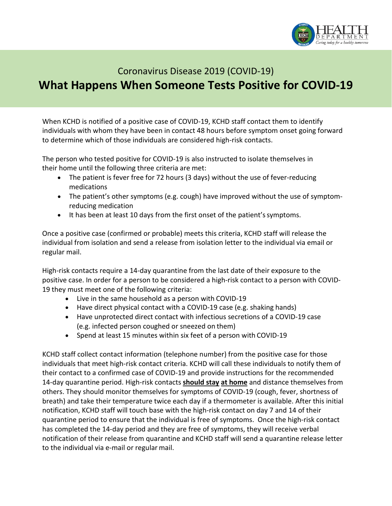

## Coronavirus Disease 2019 (COVID-19) **What Happens When Someone Tests Positive for COVID-19**

When KCHD is notified of a positive case of COVID-19, KCHD staff contact them to identify individuals with whom they have been in contact 48 hours before symptom onset going forward to determine which of those individuals are considered high-risk contacts.

The person who tested positive for COVID-19 is also instructed to isolate themselves in their home until the following three criteria are met:

- The patient is fever free for 72 hours (3 days) without the use of fever-reducing medications
- The patient's other symptoms (e.g. cough) have improved without the use of symptomreducing medication
- It has been at least 10 days from the first onset of the patient'ssymptoms.

Once a positive case (confirmed or probable) meets this criteria, KCHD staff will release the individual from isolation and send a release from isolation letter to the individual via email or regular mail.

High-risk contacts require a 14-day quarantine from the last date of their exposure to the positive case. In order for a person to be considered a high-risk contact to a person with COVID-19 they must meet one of the following criteria:

- Live in the same household as a person with COVID-19
- Have direct physical contact with a COVID-19 case (e.g. shaking hands)
- Have unprotected direct contact with infectious secretions of a COVID-19 case (e.g. infected person coughed or sneezed on them)
- Spend at least 15 minutes within six feet of a person with COVID-19

KCHD staff collect contact information (telephone number) from the positive case for those individuals that meet high-risk contact criteria. KCHD will call these individuals to notify them of their contact to a confirmed case of COVID-19 and provide instructions for the recommended 14-day quarantine period. High-risk contacts **should stay at home** and distance themselves from others. They should monitor themselves for symptoms of COVID-19 (cough, fever, shortness of breath) and take their temperature twice each day if a thermometer is available. After this initial notification, KCHD staff will touch base with the high-risk contact on day 7 and 14 of their quarantine period to ensure that the individual is free of symptoms. Once the high-risk contact has completed the 14-day period and they are free of symptoms, they will receive verbal notification of their release from quarantine and KCHD staff will send a quarantine release letter to the individual via e-mail or regular mail.